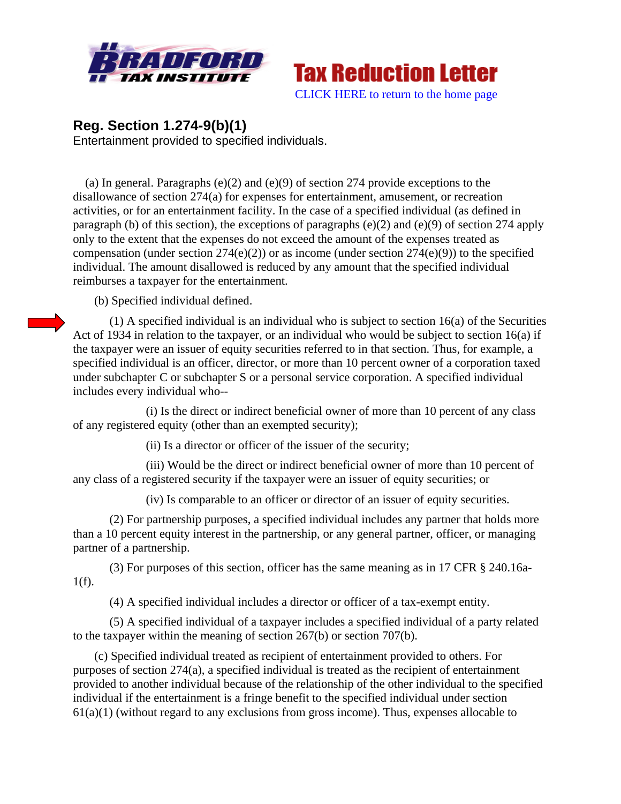



## **Reg. Section 1.274-9(b)(1)**

Entertainment provided to specified individuals.

 (a) In general. Paragraphs (e)(2) and (e)(9) of section 274 provide exceptions to the disallowance of section 274(a) for expenses for entertainment, amusement, or recreation activities, or for an entertainment facility. In the case of a specified individual (as defined in paragraph (b) of this section), the exceptions of paragraphs (e)(2) and (e)(9) of section 274 apply only to the extent that the expenses do not exceed the amount of the expenses treated as compensation (under section  $274(e)(2)$ ) or as income (under section  $274(e)(9)$ ) to the specified individual. The amount disallowed is reduced by any amount that the specified individual reimburses a taxpayer for the entertainment.

(b) Specified individual defined.

(1) A specified individual is an individual who is subject to section 16(a) of the Securities Act of 1934 in relation to the taxpayer, or an individual who would be subject to section 16(a) if the taxpayer were an issuer of equity securities referred to in that section. Thus, for example, a specified individual is an officer, director, or more than 10 percent owner of a corporation taxed under subchapter C or subchapter S or a personal service corporation. A specified individual includes every individual who--

 (i) Is the direct or indirect beneficial owner of more than 10 percent of any class of any registered equity (other than an exempted security);

(ii) Is a director or officer of the issuer of the security;

 (iii) Would be the direct or indirect beneficial owner of more than 10 percent of any class of a registered security if the taxpayer were an issuer of equity securities; or

(iv) Is comparable to an officer or director of an issuer of equity securities.

 (2) For partnership purposes, a specified individual includes any partner that holds more than a 10 percent equity interest in the partnership, or any general partner, officer, or managing partner of a partnership.

(3) For purposes of this section, officer has the same meaning as in 17 CFR § 240.16a- $1(f)$ .

(4) A specified individual includes a director or officer of a tax-exempt entity.

 (5) A specified individual of a taxpayer includes a specified individual of a party related to the taxpayer within the meaning of section 267(b) or section 707(b).

 (c) Specified individual treated as recipient of entertainment provided to others. For purposes of section 274(a), a specified individual is treated as the recipient of entertainment provided to another individual because of the relationship of the other individual to the specified individual if the entertainment is a fringe benefit to the specified individual under section  $61(a)(1)$  (without regard to any exclusions from gross income). Thus, expenses allocable to